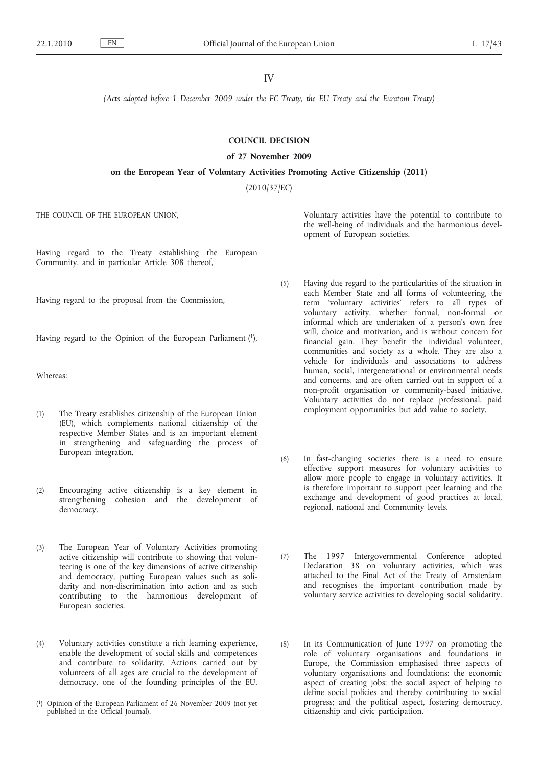IV

*(Acts adopted before 1 December 2009 under the EC Treaty, the EU Treaty and the Euratom Treaty)*

# **COUNCIL DECISION**

# **of 27 November 2009**

**on the European Year of Voluntary Activities Promoting Active Citizenship (2011)**

(2010/37/EC)

THE COUNCIL OF THE EUROPEAN UNION,

Having regard to the Treaty establishing the European Community, and in particular Article 308 thereof,

Having regard to the proposal from the Commission,

Having regard to the Opinion of the European Parliament (1),

Whereas:

- (1) The Treaty establishes citizenship of the European Union (EU), which complements national citizenship of the respective Member States and is an important element in strengthening and safeguarding the process of European integration.
- (2) Encouraging active citizenship is a key element in strengthening cohesion and the development of democracy.
- (3) The European Year of Voluntary Activities promoting active citizenship will contribute to showing that volunteering is one of the key dimensions of active citizenship and democracy, putting European values such as solidarity and non-discrimination into action and as such contributing to the harmonious development of European societies.
- (4) Voluntary activities constitute a rich learning experience, enable the development of social skills and competences and contribute to solidarity. Actions carried out by volunteers of all ages are crucial to the development of democracy, one of the founding principles of the EU.

Voluntary activities have the potential to contribute to the well-being of individuals and the harmonious development of European societies.

- (5) Having due regard to the particularities of the situation in each Member State and all forms of volunteering, the term 'voluntary activities' refers to all types of voluntary activity, whether formal, non-formal or informal which are undertaken of a person's own free will, choice and motivation, and is without concern for financial gain. They benefit the individual volunteer, communities and society as a whole. They are also a vehicle for individuals and associations to address human, social, intergenerational or environmental needs and concerns, and are often carried out in support of a non-profit organisation or community-based initiative. Voluntary activities do not replace professional, paid employment opportunities but add value to society.
- (6) In fast-changing societies there is a need to ensure effective support measures for voluntary activities to allow more people to engage in voluntary activities. It is therefore important to support peer learning and the exchange and development of good practices at local, regional, national and Community levels.
- (7) The 1997 Intergovernmental Conference adopted Declaration 38 on voluntary activities, which was attached to the Final Act of the Treaty of Amsterdam and recognises the important contribution made by voluntary service activities to developing social solidarity.
- (8) In its Communication of June 1997 on promoting the role of voluntary organisations and foundations in Europe, the Commission emphasised three aspects of voluntary organisations and foundations: the economic aspect of creating jobs; the social aspect of helping to define social policies and thereby contributing to social progress; and the political aspect, fostering democracy, citizenship and civic participation.

<sup>(</sup> 1) Opinion of the European Parliament of 26 November 2009 (not yet published in the Official Journal).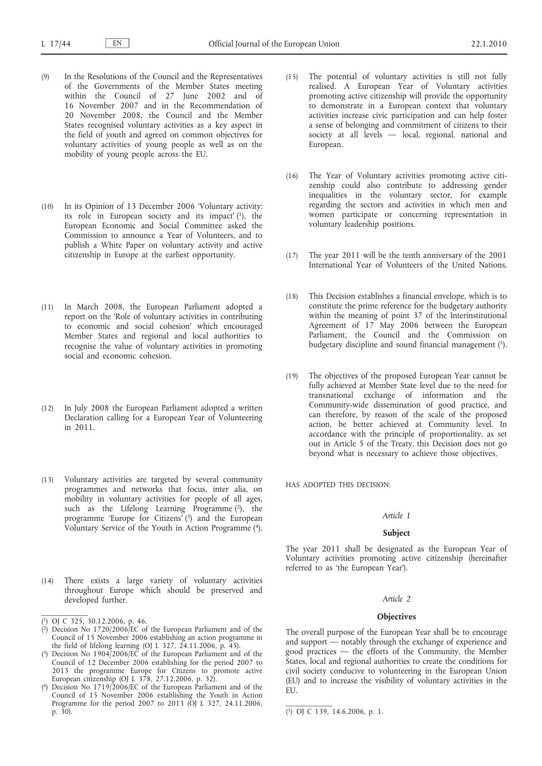- (9) In the Resolutions of the Council and the Representatives of the Governments of the Member States meeting within the Council of 27 June 2002 and of 16 November 2007 and in the Recommendation of 20 November 2008, the Council and the Member States recognised voluntary activities as a key aspect in the field of youth and agreed on common objectives for voluntary activities of young people as well as on the mobility of young people across the EU.
- (10) In its Opinion of 13 December 2006 'Voluntary activity: its role in European society and its impact'  $(1)$ , the European Economic and Social Committee asked the Commission to announce a Year of Volunteers, and to publish a White Paper on voluntary activity and active citizenship in Europe at the earliest opportunity.
- (11) In March 2008, the European Parliament adopted a report on the 'Role of voluntary activities in contributing to economic and social cohesion' which encouraged Member States and regional and local authorities to recognise the value of voluntary activities in promoting social and economic cohesion.
- (12) In July 2008 the European Parliament adopted a written Declaration calling for a European Year of Volunteering in 2011.
- (13) Voluntary activities are targeted by several community programmes and networks that focus, inter alia, on mobility in voluntary activities for people of all ages, such as the Lifelong Learning Programme (2), the programme 'Europe for Citizens' (3) and the European Voluntary Service of the Youth in Action Programme (4).
- (14) There exists a large variety of voluntary activities throughout Europe which should be preserved and developed further.
- (15) The potential of voluntary activities is still not fully realised. A European Year of Voluntary activities promoting active citizenship will provide the opportunity to demonstrate in a European context that voluntary activities increase civic participation and can help foster a sense of belonging and commitment of citizens to their society at all levels — local, regional, national and European.
- (16) The Year of Voluntary activities promoting active citizenship could also contribute to addressing gender inequalities in the voluntary sector, for example regarding the sectors and activities in which men and women participate or concerning representation in voluntary leadership positions.
- (17) The year 2011 will be the tenth anniversary of the 2001 International Year of Volunteers of the United Nations.
- (18) This Decision establishes a financial envelope, which is to constitute the prime reference for the budgetary authority within the meaning of point 37 of the Interinstitutional Agreement of 17 May 2006 between the European Parliament, the Council and the Commission on budgetary discipline and sound financial management  $(5)$ .
- (19) The objectives of the proposed European Year cannot be fully achieved at Member State level due to the need for transnational exchange of information and the Community-wide dissemination of good practice, and can therefore, by reason of the scale of the proposed action, be better achieved at Community level. In accordance with the principle of proportionality, as set out in Article 5 of the Treaty, this Decision does not go beyond what is necessary to achieve those objectives,

HAS ADOPTED THIS DECISION:

# *Article 1*

# **Subject**

The year 2011 shall be designated as the European Year of Voluntary activities promoting active citizenship (hereinafter referred to as 'the European Year').

### *Article 2*

# **Objectives**

The overall purpose of the European Year shall be to encourage and support — notably through the exchange of experience and good practices — the efforts of the Community, the Member States, local and regional authorities to create the conditions for civil society conducive to volunteering in the European Union (EU) and to increase the visibility of voluntary activities in the EU.

<sup>(</sup> 1) OJ C 325, 30.12.2006, p. 46.

<sup>(</sup> 2) Decision No 1720/2006/EC of the European Parliament and of the Council of 15 November 2006 establishing an action programme in the field of lifelong learning (OJ L 327, 24.11.2006, p. 45).

<sup>(</sup> 3) Decision No 1904/2006/EC of the European Parliament and of the Council of 12 December 2006 establishing for the period 2007 to 2013 the programme Europe for Citizens to promote active European citizenship (OJ L 378, 27.12.2006, p. 32).

<sup>(</sup> 4) Decision No 1719/2006/EC of the European Parliament and of the Council of 15 November 2006 establishing the Youth in Action Programme for the period 2007 to 2013 (OJ L 327, 24.11.2006, p. 30). (5) OJ C 139, 14.6.2006, p. 1.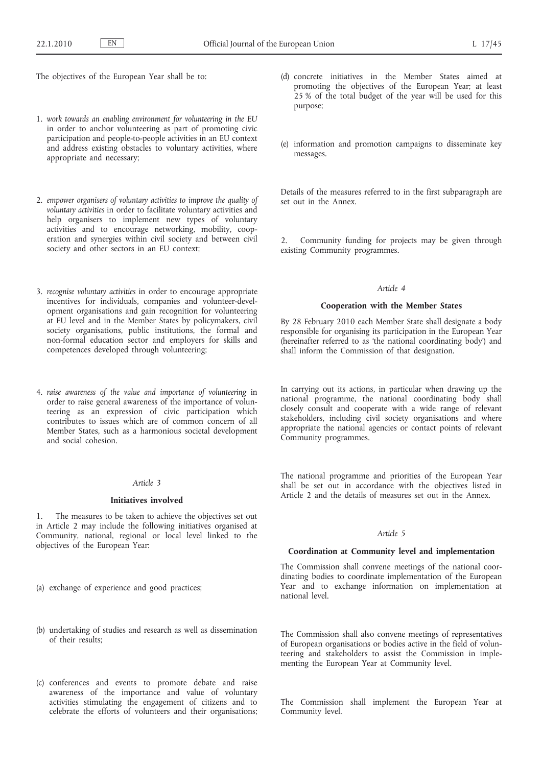The objectives of the European Year shall be to:

- 1. *work towards an enabling environment for volunteering in the EU* in order to anchor volunteering as part of promoting civic participation and people-to-people activities in an EU context and address existing obstacles to voluntary activities, where appropriate and necessary;
- 2. *empower organisers of voluntary activities to improve the quality of voluntary activities* in order to facilitate voluntary activities and help organisers to implement new types of voluntary activities and to encourage networking, mobility, cooperation and synergies within civil society and between civil society and other sectors in an EU context;
- 3. *recognise voluntary activities* in order to encourage appropriate incentives for individuals, companies and volunteer-development organisations and gain recognition for volunteering at EU level and in the Member States by policymakers, civil society organisations, public institutions, the formal and non-formal education sector and employers for skills and competences developed through volunteering;
- 4. *raise awareness of the value and importance of volunteering* in order to raise general awareness of the importance of volunteering as an expression of civic participation which contributes to issues which are of common concern of all Member States, such as a harmonious societal development and social cohesion.

# *Article 3*

### **Initiatives involved**

1. The measures to be taken to achieve the objectives set out in Article 2 may include the following initiatives organised at Community, national, regional or local level linked to the objectives of the European Year:

- (a) exchange of experience and good practices;
- (b) undertaking of studies and research as well as dissemination of their results;
- (c) conferences and events to promote debate and raise awareness of the importance and value of voluntary activities stimulating the engagement of citizens and to celebrate the efforts of volunteers and their organisations;
- (d) concrete initiatives in the Member States aimed at promoting the objectives of the European Year; at least 25 % of the total budget of the year will be used for this purpose;
- (e) information and promotion campaigns to disseminate key messages.

Details of the measures referred to in the first subparagraph are set out in the Annex.

2. Community funding for projects may be given through existing Community programmes.

# *Article 4*

### **Cooperation with the Member States**

By 28 February 2010 each Member State shall designate a body responsible for organising its participation in the European Year (hereinafter referred to as 'the national coordinating body') and shall inform the Commission of that designation.

In carrying out its actions, in particular when drawing up the national programme, the national coordinating body shall closely consult and cooperate with a wide range of relevant stakeholders, including civil society organisations and where appropriate the national agencies or contact points of relevant Community programmes.

The national programme and priorities of the European Year shall be set out in accordance with the objectives listed in Article 2 and the details of measures set out in the Annex.

# *Article 5*

### **Coordination at Community level and implementation**

The Commission shall convene meetings of the national coordinating bodies to coordinate implementation of the European Year and to exchange information on implementation at national level.

The Commission shall also convene meetings of representatives of European organisations or bodies active in the field of volunteering and stakeholders to assist the Commission in implementing the European Year at Community level.

The Commission shall implement the European Year at Community level.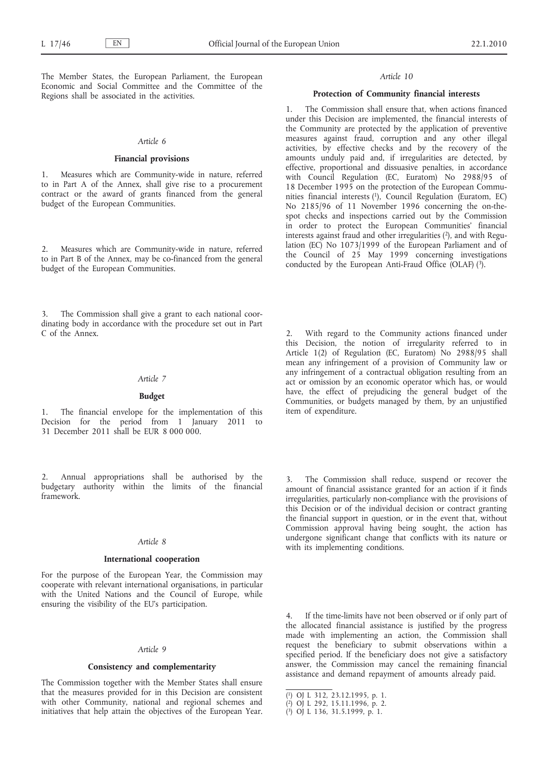The Member States, the European Parliament, the European Economic and Social Committee and the Committee of the Regions shall be associated in the activities.

## *Article 6*

# **Financial provisions**

1. Measures which are Community-wide in nature, referred to in Part A of the Annex, shall give rise to a procurement contract or the award of grants financed from the general budget of the European Communities.

2. Measures which are Community-wide in nature, referred to in Part B of the Annex, may be co-financed from the general budget of the European Communities.

The Commission shall give a grant to each national coordinating body in accordance with the procedure set out in Part C of the Annex.

### *Article 7*

# **Budget**

The financial envelope for the implementation of this Decision for the period from 1 January 2011 to 31 December 2011 shall be EUR 8 000 000.

Annual appropriations shall be authorised by the budgetary authority within the limits of the financial framework.

# *Article 8*

# **International cooperation**

For the purpose of the European Year, the Commission may cooperate with relevant international organisations, in particular with the United Nations and the Council of Europe, while ensuring the visibility of the EU's participation.

#### *Article 9*

# **Consistency and complementarity**

The Commission together with the Member States shall ensure that the measures provided for in this Decision are consistent with other Community, national and regional schemes and initiatives that help attain the objectives of the European Year.

### *Article 10*

# **Protection of Community financial interests**

1. The Commission shall ensure that, when actions financed under this Decision are implemented, the financial interests of the Community are protected by the application of preventive measures against fraud, corruption and any other illegal activities, by effective checks and by the recovery of the amounts unduly paid and, if irregularities are detected, by effective, proportional and dissuasive penalties, in accordance with Council Regulation (EC, Euratom) No 2988/95 of 18 December 1995 on the protection of the European Communities financial interests (1), Council Regulation (Euratom, EC) No 2185/96 of 11 November 1996 concerning the on-thespot checks and inspections carried out by the Commission in order to protect the European Communities' financial interests against fraud and other irregularities (2), and with Regulation (EC) No 1073/1999 of the European Parliament and of the Council of 25 May 1999 concerning investigations conducted by the European Anti-Fraud Office (OLAF) (3).

2. With regard to the Community actions financed under this Decision, the notion of irregularity referred to in Article 1(2) of Regulation (EC, Euratom) No 2988/95 shall mean any infringement of a provision of Community law or any infringement of a contractual obligation resulting from an act or omission by an economic operator which has, or would have, the effect of prejudicing the general budget of the Communities, or budgets managed by them, by an unjustified item of expenditure.

The Commission shall reduce, suspend or recover the amount of financial assistance granted for an action if it finds irregularities, particularly non-compliance with the provisions of this Decision or of the individual decision or contract granting the financial support in question, or in the event that, without Commission approval having being sought, the action has undergone significant change that conflicts with its nature or with its implementing conditions.

If the time-limits have not been observed or if only part of the allocated financial assistance is justified by the progress made with implementing an action, the Commission shall request the beneficiary to submit observations within a specified period. If the beneficiary does not give a satisfactory answer, the Commission may cancel the remaining financial assistance and demand repayment of amounts already paid.

<sup>(</sup> 1) OJ L 312, 23.12.1995, p. 1.

<sup>(</sup> 2) OJ L 292, 15.11.1996, p. 2.

<sup>(</sup> 3) OJ L 136, 31.5.1999, p. 1.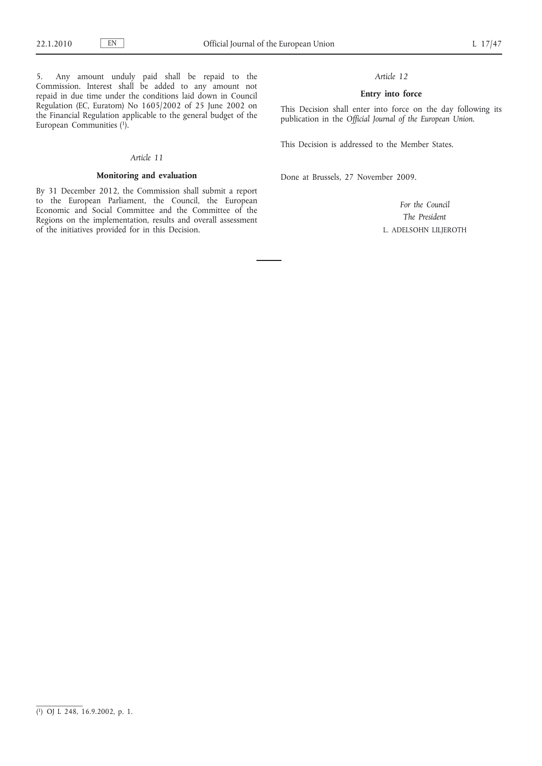5. Any amount unduly paid shall be repaid to the Commission. Interest shall be added to any amount not repaid in due time under the conditions laid down in Council Regulation (EC, Euratom) No 1605/2002 of 25 June 2002 on the Financial Regulation applicable to the general budget of the European Communities  $(1)$ .

#### *Article 11*

# **Monitoring and evaluation**

By 31 December 2012, the Commission shall submit a report to the European Parliament, the Council, the European Economic and Social Committee and the Committee of the Regions on the implementation, results and overall assessment of the initiatives provided for in this Decision.

# *Article 12*

# **Entry into force**

This Decision shall enter into force on the day following its publication in the *Official Journal of the European Union*.

This Decision is addressed to the Member States.

Done at Brussels, 27 November 2009.

*For the Council The President* L. ADELSOHN LILJEROTH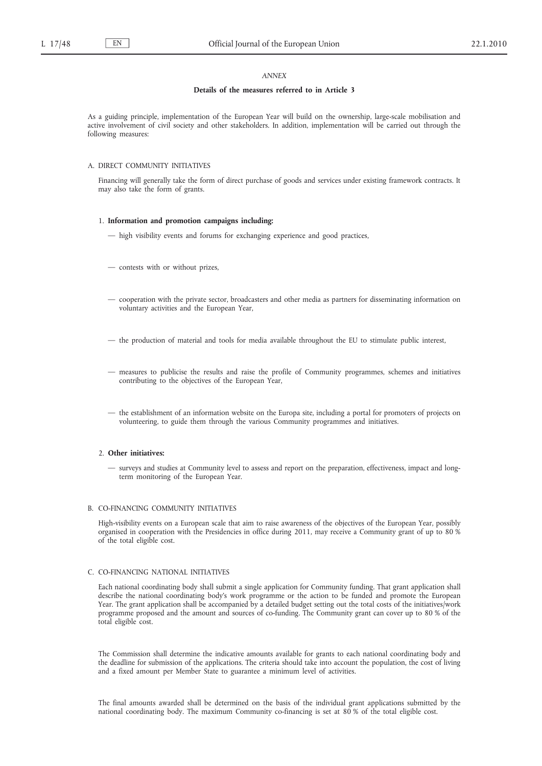# *ANNEX*

# **Details of the measures referred to in Article 3**

As a guiding principle, implementation of the European Year will build on the ownership, large-scale mobilisation and active involvement of civil society and other stakeholders. In addition, implementation will be carried out through the following measures:

# A. DIRECT COMMUNITY INITIATIVES

Financing will generally take the form of direct purchase of goods and services under existing framework contracts. It may also take the form of grants.

#### 1. **Information and promotion campaigns including:**

- high visibility events and forums for exchanging experience and good practices,
- contests with or without prizes,
- cooperation with the private sector, broadcasters and other media as partners for disseminating information on voluntary activities and the European Year,
- the production of material and tools for media available throughout the EU to stimulate public interest,
- measures to publicise the results and raise the profile of Community programmes, schemes and initiatives contributing to the objectives of the European Year,
- the establishment of an information website on the Europa site, including a portal for promoters of projects on volunteering, to guide them through the various Community programmes and initiatives.

# 2. **Other initiatives:**

— surveys and studies at Community level to assess and report on the preparation, effectiveness, impact and longterm monitoring of the European Year.

### B. CO-FINANCING COMMUNITY INITIATIVES

High-visibility events on a European scale that aim to raise awareness of the objectives of the European Year, possibly organised in cooperation with the Presidencies in office during 2011, may receive a Community grant of up to 80 % of the total eligible cost.

### C. CO-FINANCING NATIONAL INITIATIVES

Each national coordinating body shall submit a single application for Community funding. That grant application shall describe the national coordinating body's work programme or the action to be funded and promote the European Year. The grant application shall be accompanied by a detailed budget setting out the total costs of the initiatives/work programme proposed and the amount and sources of co-funding. The Community grant can cover up to 80 % of the total eligible cost.

The Commission shall determine the indicative amounts available for grants to each national coordinating body and the deadline for submission of the applications. The criteria should take into account the population, the cost of living and a fixed amount per Member State to guarantee a minimum level of activities.

The final amounts awarded shall be determined on the basis of the individual grant applications submitted by the national coordinating body. The maximum Community co-financing is set at 80 % of the total eligible cost.